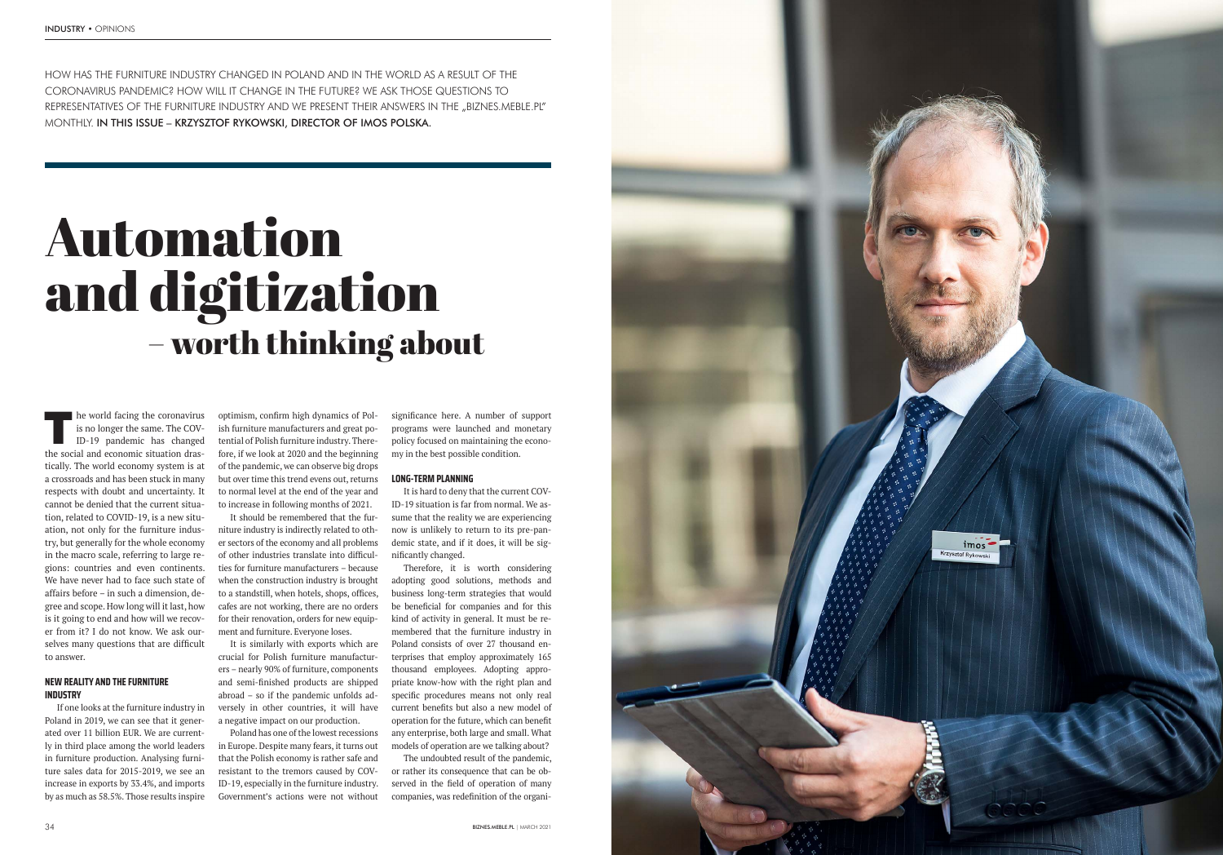



The world facing the coronavirus<br>
is no longer the same. The COV-<br>
ID-19 pandemic has changed is no longer the same. The COV-ID-19 pandemic has changed the social and economic situation drastically. The world economy system is at a crossroads and has been stuck in many respects with doubt and uncertainty. It cannot be denied that the current situation, related to COVID-19, is a new situation, not only for the furniture industry, but generally for the whole economy in the macro scale, referring to large regions: countries and even continents. We have never had to face such state of affairs before – in such a dimension, degree and scope. How long will it last, how is it going to end and how will we recover from it? I do not know. We ask ourselves many questions that are difficult to answer.

optimism, confirm high dynamics of Polish furniture manufacturers and great potential of Polish furniture industry. Therefore, if we look at 2020 and the beginning of the pandemic, we can observe big drops but over time this trend evens out, returns to normal level at the end of the year and to increase in following months of 2021.

# **NEW REALITY AND THE FURNITURE INDUSTRY**

If one looks at the furniture industry in Poland in 2019, we can see that it generated over 11 billion EUR. We are currently in third place among the world leaders in furniture production. Analysing furniture sales data for 2015-2019, we see an increase in exports by 33.4%, and imports by as much as 58.5%. Those results inspire

significance here. A number of support programs were launched and monetary policy focused on maintaining the economy in the best possible condition.

It is hard to deny that the current COV-ID-19 situation is far from normal. We assume that the reality we are experiencing now is unlikely to return to its pre-pandemic state, and if it does, it will be significantly changed.

It should be remembered that the furniture industry is indirectly related to other sectors of the economy and all problems of other industries translate into difficulties for furniture manufacturers – because when the construction industry is brought to a standstill, when hotels, shops, offices, cafes are not working, there are no orders for their renovation, orders for new equipment and furniture. Everyone loses.

> The undoubted result of the pandemic, or rather its consequence that can be observed in the field of operation of many companies, was redefinition of the organi-

It is similarly with exports which are crucial for Polish furniture manufacturers – nearly 90% of furniture, components and semi-finished products are shipped abroad – so if the pandemic unfolds adversely in other countries, it will have a negative impact on our production.

Poland has one of the lowest recessions in Europe. Despite many fears, it turns out that the Polish economy is rather safe and resistant to the tremors caused by COV-ID-19, especially in the furniture industry. Government's actions were not without

### **LONG-TERM PLANNING**

Therefore, it is worth considering adopting good solutions, methods and business long-term strategies that would be beneficial for companies and for this kind of activity in general. It must be remembered that the furniture industry in Poland consists of over 27 thousand enterprises that employ approximately 165 thousand employees. Adopting appropriate know-how with the right plan and specific procedures means not only real current benefits but also a new model of operation for the future, which can benefit any enterprise, both large and small. What models of operation are we talking about?

HOW HAS THE FURNITURE INDUSTRY CHANGED IN POLAND AND IN THE WORLD AS A RESULT OF THE CORONAVIRUS PANDEMIC? HOW WILL IT CHANGE IN THE FUTURE? WE ASK THOSE QUESTIONS TO REPRESENTATIVES OF THE FURNITURE INDUSTRY AND WE PRESENT THEIR ANSWERS IN THE "BIZNES.MEBLE.PL" MONTHLY. IN THIS ISSUE – KRZYSZTOF RYKOWSKI, DIRECTOR OF IMOS POLSKA.

# – worth thinking about Automation and digitization